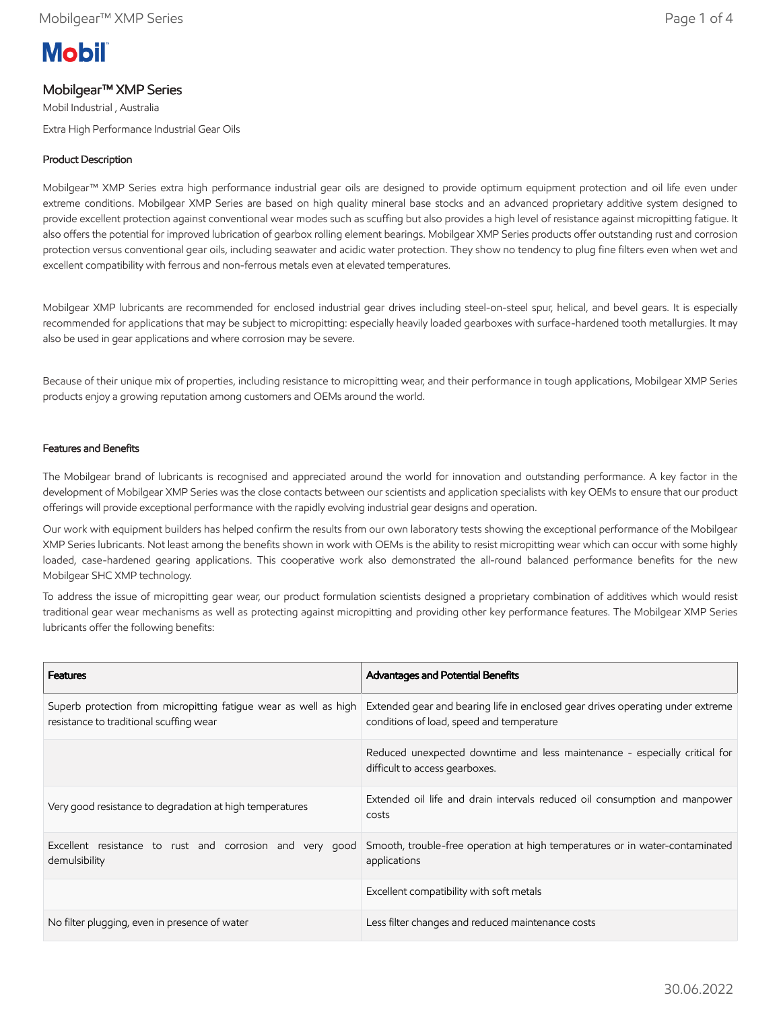# **Mobil**

## Mobilgear™ XMP Series

Mobil Industrial , Australia Extra High Performance Industrial Gear Oils

## Product Description

Mobilgear™ XMP Series extra high performance industrial gear oils are designed to provide optimum equipment protection and oil life even under extreme conditions. Mobilgear XMP Series are based on high quality mineral base stocks and an advanced proprietary additive system designed to provide excellent protection against conventional wear modes such as scuffing but also provides a high level of resistance against micropitting fatigue. It also offers the potential for improved lubrication of gearbox rolling element bearings. Mobilgear XMP Series products offer outstanding rust and corrosion protection versus conventional gear oils, including seawater and acidic water protection. They show no tendency to plug fine filters even when wet and excellent compatibility with ferrous and non-ferrous metals even at elevated temperatures.

Mobilgear XMP lubricants are recommended for enclosed industrial gear drives including steel-on-steel spur, helical, and bevel gears. It is especially recommended for applications that may be subject to micropitting: especially heavily loaded gearboxes with surface-hardened tooth metallurgies. It may also be used in gear applications and where corrosion may be severe.

Because of their unique mix of properties, including resistance to micropitting wear, and their performance in tough applications, Mobilgear XMP Series products enjoy a growing reputation among customers and OEMs around the world.

#### Features and Benefits

The Mobilgear brand of lubricants is recognised and appreciated around the world for innovation and outstanding performance. A key factor in the development of Mobilgear XMP Series was the close contacts between our scientists and application specialists with key OEMs to ensure that our product offerings will provide exceptional performance with the rapidly evolving industrial gear designs and operation.

Our work with equipment builders has helped confirm the results from our own laboratory tests showing the exceptional performance of the Mobilgear XMP Series lubricants. Not least among the benefits shown in work with OEMs is the ability to resist micropitting wear which can occur with some highly loaded, case-hardened gearing applications. This cooperative work also demonstrated the all-round balanced performance benefits for the new Mobilgear SHC XMP technology.

To address the issue of micropitting gear wear, our product formulation scientists designed a proprietary combination of additives which would resist traditional gear wear mechanisms as well as protecting against micropitting and providing other key performance features. The Mobilgear XMP Series lubricants offer the following benefits:

| <b>Features</b>                                                                                             | Advantages and Potential Benefits                                                                                           |
|-------------------------------------------------------------------------------------------------------------|-----------------------------------------------------------------------------------------------------------------------------|
| Superb protection from micropitting fatique wear as well as high<br>resistance to traditional scuffing wear | Extended gear and bearing life in enclosed gear drives operating under extreme<br>conditions of load, speed and temperature |
|                                                                                                             | Reduced unexpected downtime and less maintenance - especially critical for<br>difficult to access gearboxes.                |
| Very good resistance to degradation at high temperatures                                                    | Extended oil life and drain intervals reduced oil consumption and manpower<br>costs                                         |
| Excellent resistance to rust and corrosion and very good<br>demulsibility                                   | Smooth, trouble-free operation at high temperatures or in water-contaminated<br>applications                                |
|                                                                                                             | Excellent compatibility with soft metals                                                                                    |
| No filter plugging, even in presence of water                                                               | Less filter changes and reduced maintenance costs                                                                           |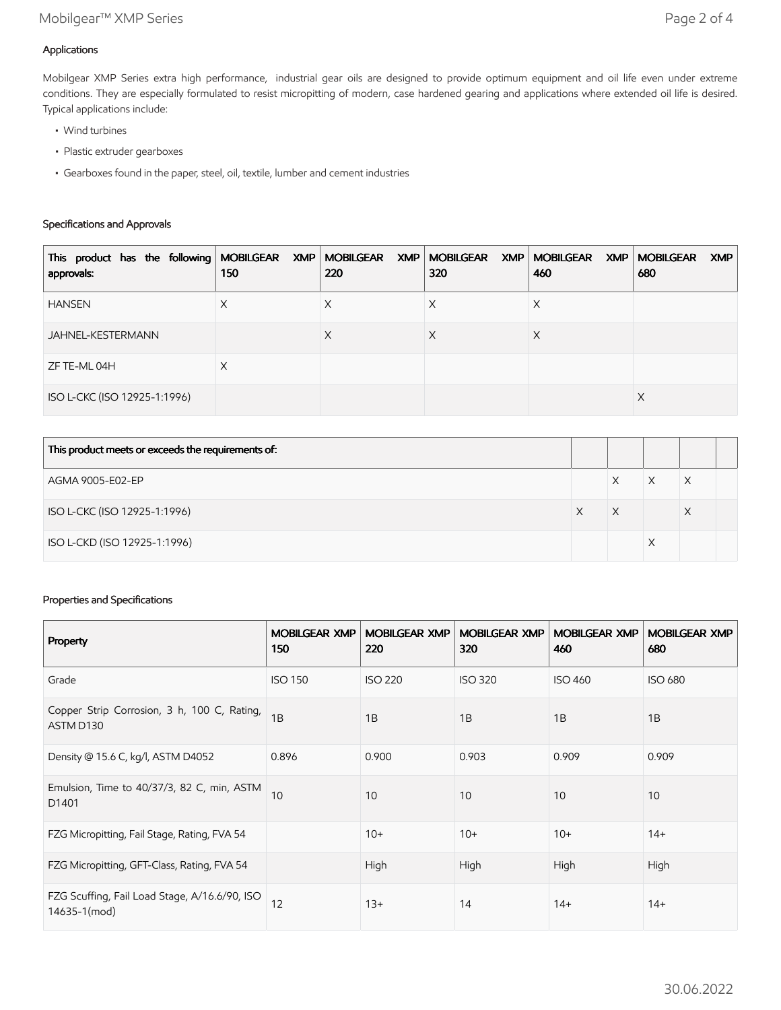## Applications

Mobilgear XMP Series extra high performance, industrial gear oils are designed to provide optimum equipment and oil life even under extreme conditions. They are especially formulated to resist micropitting of modern, case hardened gearing and applications where extended oil life is desired. Typical applications include:

- Wind turbines
- Plastic extruder gearboxes
- Gearboxes found in the paper, steel, oil, textile, lumber and cement industries

## Specifications and Approvals

| This product has the following MOBILGEAR XMP MOBILGEAR XMP MOBILGEAR XMP MOBILGEAR XMP MOBILGEAR<br>approvals: | 150 | 220 | 320 | 460 | XMP<br>680 |
|----------------------------------------------------------------------------------------------------------------|-----|-----|-----|-----|------------|
| <b>HANSEN</b>                                                                                                  | Χ   | ∧   | ∧   | ⋏   |            |
| JAHNEL-KESTERMANN                                                                                              |     | X   | Х   | X   |            |
| ZF TE-ML 04H                                                                                                   | X   |     |     |     |            |
| ISO L-CKC (ISO 12925-1:1996)                                                                                   |     |     |     |     | X          |

| This product meets or exceeds the requirements of: |   |   |  |
|----------------------------------------------------|---|---|--|
| AGMA 9005-E02-EP                                   |   |   |  |
| ISO L-CKC (ISO 12925-1:1996)                       | X | Х |  |
| ISO L-CKD (ISO 12925-1:1996)                       |   |   |  |

## Properties and Specifications

| Property                                                      | <b>MOBILGEAR XMP</b><br>150 | <b>MOBILGEAR XMP</b><br>220 | <b>MOBILGEAR XMP</b><br>320 | <b>MOBILGEAR XMP</b><br>460 | <b>MOBILGEAR XMP</b><br>680 |
|---------------------------------------------------------------|-----------------------------|-----------------------------|-----------------------------|-----------------------------|-----------------------------|
| Grade                                                         | <b>ISO 150</b>              | <b>ISO 220</b>              | <b>ISO 320</b>              | <b>ISO 460</b>              | <b>ISO 680</b>              |
| Copper Strip Corrosion, 3 h, 100 C, Rating,<br>ASTM D130      | 1B                          | 1B                          | 1B                          | 1B                          | 1B                          |
| Density @ 15.6 C, kg/l, ASTM D4052                            | 0.896                       | 0.900                       | 0.903                       | 0.909                       | 0.909                       |
| Emulsion, Time to 40/37/3, 82 C, min, ASTM<br>D1401           | 10                          | 10                          | 10                          | 10                          | 10                          |
| FZG Micropitting, Fail Stage, Rating, FVA 54                  |                             | $10+$                       | $10+$                       | $10+$                       | $14+$                       |
| FZG Micropitting, GFT-Class, Rating, FVA 54                   |                             | High                        | High                        | High                        | High                        |
| FZG Scuffing, Fail Load Stage, A/16.6/90, ISO<br>14635-1(mod) | 12                          | $13+$                       | 14                          | $14+$                       | $14+$                       |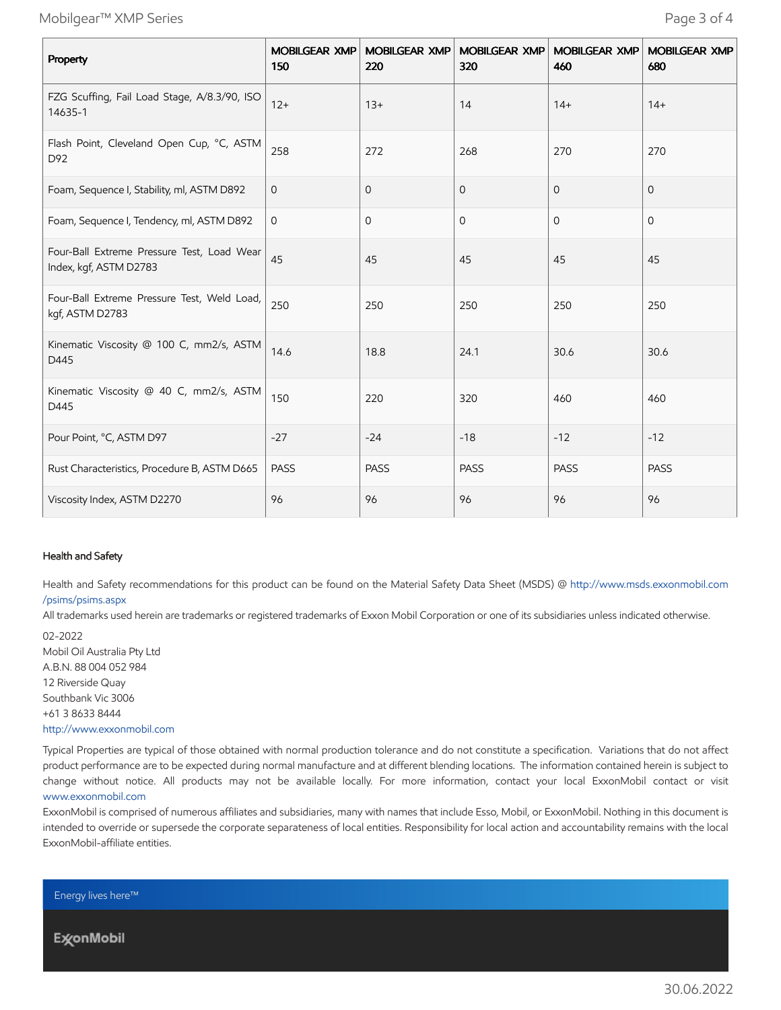Mobilgear™ XMP Series Page 3 of 4

| Property                                                             | <b>MOBILGEAR XMP</b><br>150 | <b>MOBILGEAR XMP</b><br>220 | <b>MOBILGEAR XMP</b><br>320 | <b>MOBILGEAR XMP</b><br>460 | <b>MOBILGEAR XMP</b><br>680 |
|----------------------------------------------------------------------|-----------------------------|-----------------------------|-----------------------------|-----------------------------|-----------------------------|
| FZG Scuffing, Fail Load Stage, A/8.3/90, ISO<br>14635-1              | $12+$                       | $13+$                       | 14                          | $14+$                       | $14+$                       |
| Flash Point, Cleveland Open Cup, °C, ASTM<br>D92                     | 258                         | 272                         | 268                         | 270                         | 270                         |
| Foam, Sequence I, Stability, ml, ASTM D892                           | $\mathbf 0$                 | 0                           | 0                           | $\mathbf{0}$                | $\mathbf{0}$                |
| Foam, Sequence I, Tendency, ml, ASTM D892                            | 0                           | $\mathbf{0}$                | $\mathbf{O}$                | $\mathbf{0}$                | $\mathbf{O}$                |
| Four-Ball Extreme Pressure Test, Load Wear<br>Index, kgf, ASTM D2783 | 45                          | 45                          | 45                          | 45                          | 45                          |
| Four-Ball Extreme Pressure Test, Weld Load,<br>kgf, ASTM D2783       | 250                         | 250                         | 250                         | 250                         | 250                         |
| Kinematic Viscosity @ 100 C, mm2/s, ASTM<br>D445                     | 14.6                        | 18.8                        | 24.1                        | 30.6                        | 30.6                        |
| Kinematic Viscosity @ 40 C, mm2/s, ASTM<br>D445                      | 150                         | 220                         | 320                         | 460                         | 460                         |
| Pour Point, °C, ASTM D97                                             | $-27$                       | $-24$                       | $-18$                       | $-12$                       | $-12$                       |
| Rust Characteristics, Procedure B, ASTM D665                         | <b>PASS</b>                 | <b>PASS</b>                 | PASS                        | PASS                        | PASS                        |
| Viscosity Index, ASTM D2270                                          | 96                          | 96                          | 96                          | 96                          | 96                          |

#### Health and Safety

Health and Safety recommendations for this product can be found on the Material Safety Data Sheet (MSDS) @ [http://www.msds.exxonmobil.com](http://www.msds.exxonmobil.com/psims/psims.aspx) /psims/psims.aspx

All trademarks used herein are trademarks or registered trademarks of Exxon Mobil Corporation or one of its subsidiaries unless indicated otherwise.

02-2022 Mobil Oil Australia Pty Ltd A.B.N. 88 004 052 984 12 Riverside Quay Southbank Vic 3006 +61 3 8633 8444 [http://www.exxonmobil.com](http://www.exxonmobil.com/)

Typical Properties are typical of those obtained with normal production tolerance and do not constitute a specification. Variations that do not affect product performance are to be expected during normal manufacture and at different blending locations. The information contained herein is subject to change without notice. All products may not be available locally. For more information, contact your local ExxonMobil contact or visit [www.exxonmobil.com](http://www.exxonmobil.com/)

ExxonMobil is comprised of numerous affiliates and subsidiaries, many with names that include Esso, Mobil, or ExxonMobil. Nothing in this document is intended to override or supersede the corporate separateness of local entities. Responsibility for local action and accountability remains with the local ExxonMobil-affiliate entities.

Energy lives here™

**ExconMobil**